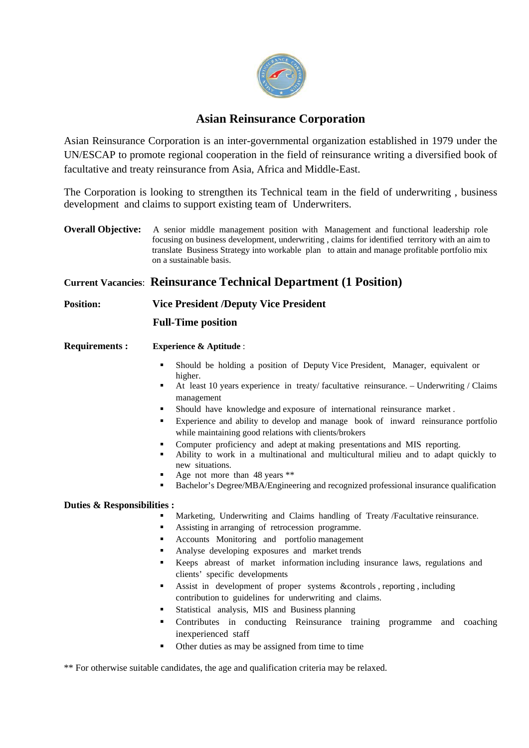

# **Asian Reinsurance Corporation**

Asian Reinsurance Corporation is an inter-governmental organization established in 1979 under the UN/ESCAP to promote regional cooperation in the field of reinsurance writing a diversified book of facultative and treaty reinsurance from Asia, Africa and Middle-East.

The Corporation is looking to strengthen its Technical team in the field of underwriting , business development and claims to support existing team of Underwriters.

**Overall Objective:** A senior middle management position with Management and functional leadership role focusing on business development, underwriting , claims for identified territory with an aim to translate Business Strategy into workable plan to attain and manage profitable portfolio mix on a sustainable basis.

## **Current Vacancies**: **Reinsurance Technical Department (1 Position)**

## **Position: Vice President /Deputy Vice President**

### **Full-Time position**

- **Requirements : Experience & Aptitude** :
	- Should be holding a position of Deputy Vice President, Manager, equivalent or higher.
	- At least 10 years experience in treaty/ facultative reinsurance. Underwriting / Claims management
	- Should have knowledge and exposure of international reinsurance market .
	- Experience and ability to develop and manage book of inward reinsurance portfolio while maintaining good relations with clients/brokers
	- Computer proficiency and adept at making presentations and MIS reporting.
	- Ability to work in a multinational and multicultural milieu and to adapt quickly to new situations.
	- Age not more than 48 years \*\*
	- Bachelor's Degree/MBA/Engineering and recognized professional insurance qualification

#### **Duties & Responsibilities :**

- Marketing, Underwriting and Claims handling of Treaty /Facultative reinsurance.
- Assisting in arranging of retrocession programme.
- Accounts Monitoring and portfolio management
- Analyse developing exposures and market trends
- Keeps abreast of market information including insurance laws, regulations and clients' specific developments
- Assist in development of proper systems &controls , reporting , including contribution to guidelines for underwriting and claims.
- Statistical analysis, MIS and Business planning
- Contributes in conducting Reinsurance training programme and coaching inexperienced staff
- Other duties as may be assigned from time to time

\*\* For otherwise suitable candidates, the age and qualification criteria may be relaxed.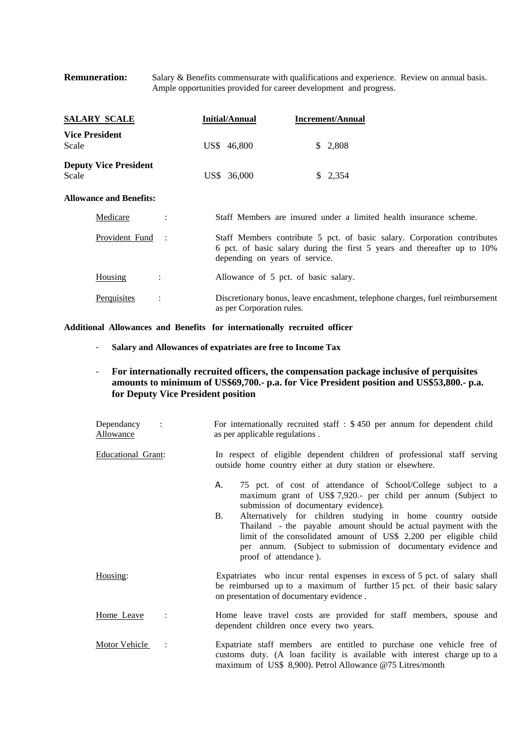#### **Remuneration:** Salary & Benefits commensurate with qualifications and experience. Review on annual basis. Ample opportunities provided for career development and progress.

| <u>SALARY SCALE</u>                   | Initial/Annual                                                                                                                                                                         | <b>Increment/Annual</b>                                                      |
|---------------------------------------|----------------------------------------------------------------------------------------------------------------------------------------------------------------------------------------|------------------------------------------------------------------------------|
| <b>Vice President</b><br>Scale        | US\$ 46,800                                                                                                                                                                            | \$2,808                                                                      |
| <b>Deputy Vice President</b><br>Scale | US\$ 36,000                                                                                                                                                                            | \$2,354                                                                      |
| <b>Allowance and Benefits:</b>        |                                                                                                                                                                                        |                                                                              |
| Medicare                              | Staff Members are insured under a limited health insurance scheme.                                                                                                                     |                                                                              |
| Provident Fund :                      | Staff Members contribute 5 pct. of basic salary. Corporation contributes<br>6 pct. of basic salary during the first 5 years and thereafter up to 10%<br>depending on years of service. |                                                                              |
| Housing                               | Allowance of 5 pct. of basic salary.                                                                                                                                                   |                                                                              |
| Perquisites<br>$\ddot{\cdot}$         | as per Corporation rules.                                                                                                                                                              | Discretionary bonus, leave encashment, telephone charges, fuel reimbursement |

**Additional Allowances and Benefits for internationally recruited officer** 

- ‐ **Salary and Allowances of expatriates are free to Income Tax**
- ‐ **For internationally recruited officers, the compensation package inclusive of perquisites amounts to minimum of US\$69,700.- p.a. for Vice President position and US\$53,800.- p.a. for Deputy Vice President position**

| Dependancy<br>$\sim$ 1.<br>Allowance | For internationally recruited staff $\pm$ \$450 per annum for dependent child<br>as per applicable regulations.                                                                                                                                                                                                                                                                                                                                                                    |
|--------------------------------------|------------------------------------------------------------------------------------------------------------------------------------------------------------------------------------------------------------------------------------------------------------------------------------------------------------------------------------------------------------------------------------------------------------------------------------------------------------------------------------|
| Educational Grant:                   | In respect of eligible dependent children of professional staff serving<br>outside home country either at duty station or elsewhere.                                                                                                                                                                                                                                                                                                                                               |
|                                      | 75 pct. of cost of attendance of School/College subject to a<br>А.<br>maximum grant of US\$ 7,920.- per child per annum (Subject to<br>submission of documentary evidence).<br>B.<br>Alternatively for children studying in home country outside<br>Thailand - the payable amount should be actual payment with the<br>limit of the consolidated amount of US\$ 2,200 per eligible child<br>per annum. (Subject to submission of documentary evidence and<br>proof of attendance). |
| Housing:                             | Expatriates who incur rental expenses in excess of 5 pct. of salary shall<br>be reimbursed up to a maximum of further 15 pct. of their basic salary<br>on presentation of documentary evidence.                                                                                                                                                                                                                                                                                    |
| Home Leave                           | Home leave travel costs are provided for staff members, spouse and<br>dependent children once every two years.                                                                                                                                                                                                                                                                                                                                                                     |
| Motor Vehicle<br>$\ddot{\cdot}$      | Expatriate staff members are entitled to purchase one vehicle free of<br>customs duty. (A loan facility is available with interest charge up to a<br>maximum of US\$ 8,900). Petrol Allowance @75 Litres/month                                                                                                                                                                                                                                                                     |